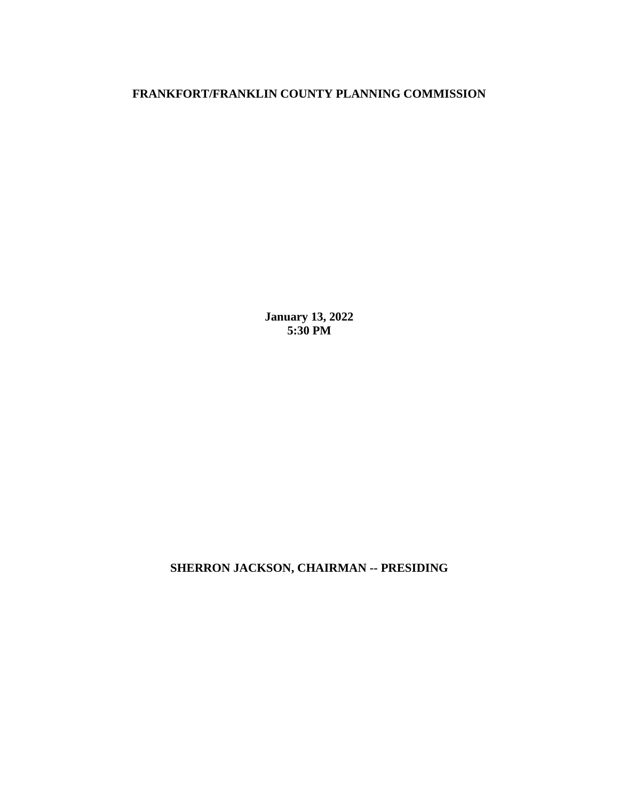## **FRANKFORT/FRANKLIN COUNTY PLANNING COMMISSION**

**January 13, 2022 5:30 PM**

**SHERRON JACKSON, CHAIRMAN -- PRESIDING**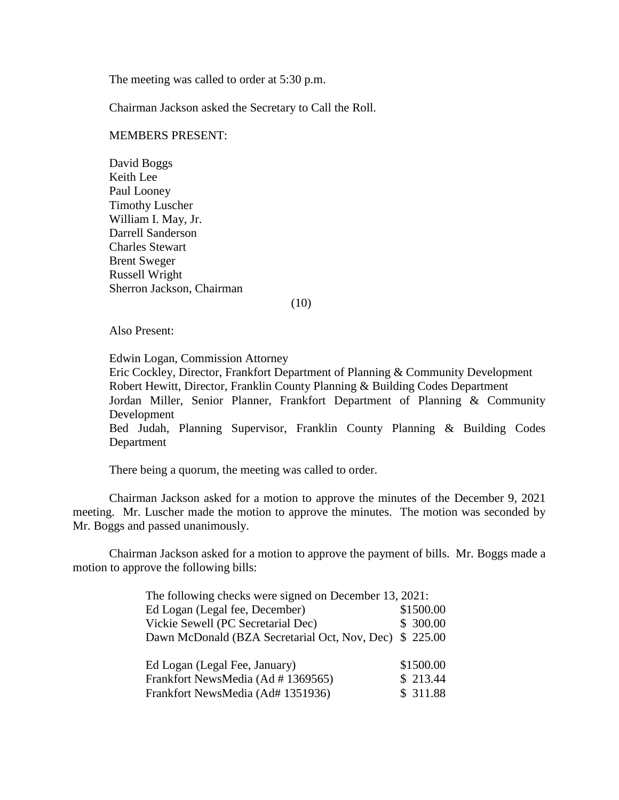The meeting was called to order at 5:30 p.m.

Chairman Jackson asked the Secretary to Call the Roll.

## MEMBERS PRESENT:

David Boggs Keith Lee Paul Looney Timothy Luscher William I. May, Jr. Darrell Sanderson Charles Stewart Brent Sweger Russell Wright Sherron Jackson, Chairman

(10)

Also Present:

Edwin Logan, Commission Attorney Eric Cockley, Director, Frankfort Department of Planning & Community Development Robert Hewitt, Director, Franklin County Planning & Building Codes Department Jordan Miller, Senior Planner, Frankfort Department of Planning & Community Development Bed Judah, Planning Supervisor, Franklin County Planning & Building Codes Department

There being a quorum, the meeting was called to order.

Chairman Jackson asked for a motion to approve the minutes of the December 9, 2021 meeting. Mr. Luscher made the motion to approve the minutes. The motion was seconded by Mr. Boggs and passed unanimously.

Chairman Jackson asked for a motion to approve the payment of bills. Mr. Boggs made a motion to approve the following bills:

| The following checks were signed on December 13, 2021: |           |
|--------------------------------------------------------|-----------|
| Ed Logan (Legal fee, December)                         | \$1500.00 |
| Vickie Sewell (PC Secretarial Dec)                     | \$300.00  |
| Dawn McDonald (BZA Secretarial Oct, Nov, Dec)          | \$225.00  |
|                                                        |           |
| Ed Logan (Legal Fee, January)                          | \$1500.00 |
| Frankfort NewsMedia (Ad # 1369565)                     | \$213.44  |
| Frankfort NewsMedia (Ad# 1351936)                      | \$ 311.88 |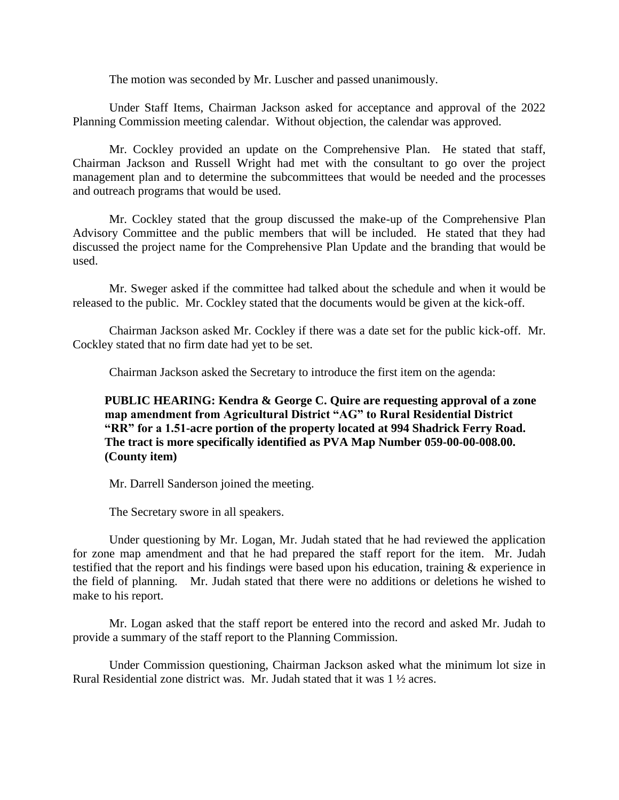The motion was seconded by Mr. Luscher and passed unanimously.

Under Staff Items, Chairman Jackson asked for acceptance and approval of the 2022 Planning Commission meeting calendar. Without objection, the calendar was approved.

Mr. Cockley provided an update on the Comprehensive Plan. He stated that staff, Chairman Jackson and Russell Wright had met with the consultant to go over the project management plan and to determine the subcommittees that would be needed and the processes and outreach programs that would be used.

Mr. Cockley stated that the group discussed the make-up of the Comprehensive Plan Advisory Committee and the public members that will be included. He stated that they had discussed the project name for the Comprehensive Plan Update and the branding that would be used.

Mr. Sweger asked if the committee had talked about the schedule and when it would be released to the public. Mr. Cockley stated that the documents would be given at the kick-off.

Chairman Jackson asked Mr. Cockley if there was a date set for the public kick-off. Mr. Cockley stated that no firm date had yet to be set.

Chairman Jackson asked the Secretary to introduce the first item on the agenda:

**PUBLIC HEARING: Kendra & George C. Quire are requesting approval of a zone map amendment from Agricultural District "AG" to Rural Residential District "RR" for a 1.51-acre portion of the property located at 994 Shadrick Ferry Road. The tract is more specifically identified as PVA Map Number 059-00-00-008.00. (County item)**

Mr. Darrell Sanderson joined the meeting.

The Secretary swore in all speakers.

Under questioning by Mr. Logan, Mr. Judah stated that he had reviewed the application for zone map amendment and that he had prepared the staff report for the item. Mr. Judah testified that the report and his findings were based upon his education, training & experience in the field of planning. Mr. Judah stated that there were no additions or deletions he wished to make to his report.

Mr. Logan asked that the staff report be entered into the record and asked Mr. Judah to provide a summary of the staff report to the Planning Commission.

Under Commission questioning, Chairman Jackson asked what the minimum lot size in Rural Residential zone district was. Mr. Judah stated that it was 1 ½ acres.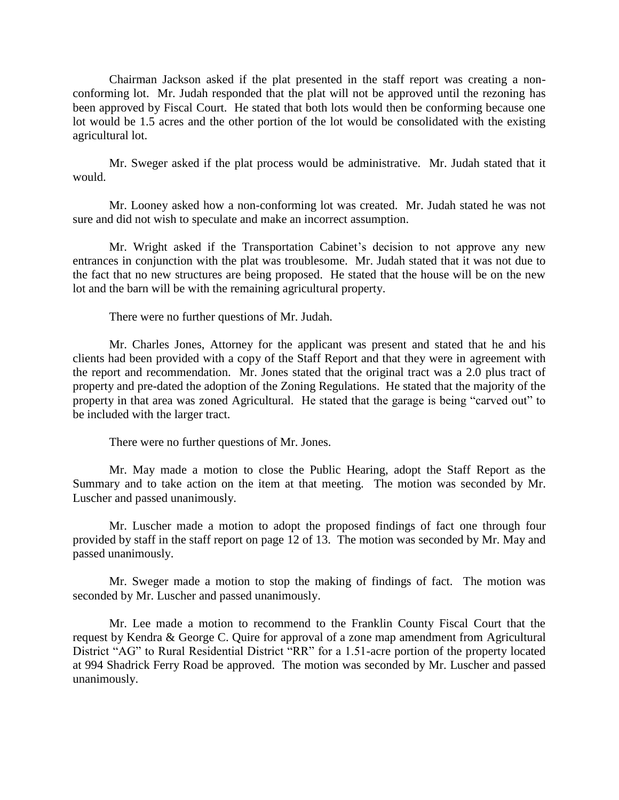Chairman Jackson asked if the plat presented in the staff report was creating a nonconforming lot. Mr. Judah responded that the plat will not be approved until the rezoning has been approved by Fiscal Court. He stated that both lots would then be conforming because one lot would be 1.5 acres and the other portion of the lot would be consolidated with the existing agricultural lot.

Mr. Sweger asked if the plat process would be administrative. Mr. Judah stated that it would.

Mr. Looney asked how a non-conforming lot was created. Mr. Judah stated he was not sure and did not wish to speculate and make an incorrect assumption.

Mr. Wright asked if the Transportation Cabinet's decision to not approve any new entrances in conjunction with the plat was troublesome. Mr. Judah stated that it was not due to the fact that no new structures are being proposed. He stated that the house will be on the new lot and the barn will be with the remaining agricultural property.

There were no further questions of Mr. Judah.

Mr. Charles Jones, Attorney for the applicant was present and stated that he and his clients had been provided with a copy of the Staff Report and that they were in agreement with the report and recommendation. Mr. Jones stated that the original tract was a 2.0 plus tract of property and pre-dated the adoption of the Zoning Regulations. He stated that the majority of the property in that area was zoned Agricultural. He stated that the garage is being "carved out" to be included with the larger tract.

There were no further questions of Mr. Jones.

Mr. May made a motion to close the Public Hearing, adopt the Staff Report as the Summary and to take action on the item at that meeting. The motion was seconded by Mr. Luscher and passed unanimously.

Mr. Luscher made a motion to adopt the proposed findings of fact one through four provided by staff in the staff report on page 12 of 13. The motion was seconded by Mr. May and passed unanimously.

Mr. Sweger made a motion to stop the making of findings of fact. The motion was seconded by Mr. Luscher and passed unanimously.

Mr. Lee made a motion to recommend to the Franklin County Fiscal Court that the request by Kendra & George C. Quire for approval of a zone map amendment from Agricultural District "AG" to Rural Residential District "RR" for a 1.51-acre portion of the property located at 994 Shadrick Ferry Road be approved. The motion was seconded by Mr. Luscher and passed unanimously.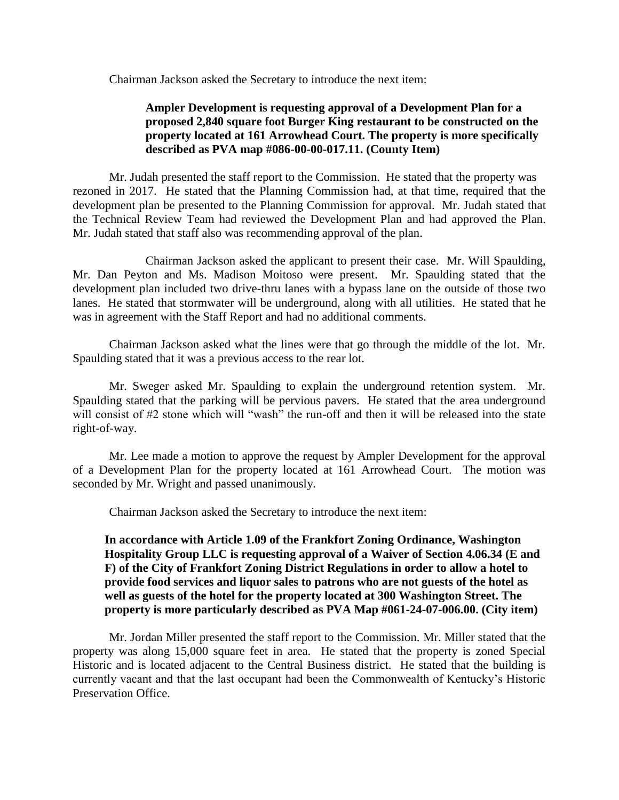Chairman Jackson asked the Secretary to introduce the next item:

## **Ampler Development is requesting approval of a Development Plan for a proposed 2,840 square foot Burger King restaurant to be constructed on the property located at 161 Arrowhead Court. The property is more specifically described as PVA map #086-00-00-017.11. (County Item)**

Mr. Judah presented the staff report to the Commission. He stated that the property was rezoned in 2017. He stated that the Planning Commission had, at that time, required that the development plan be presented to the Planning Commission for approval. Mr. Judah stated that the Technical Review Team had reviewed the Development Plan and had approved the Plan. Mr. Judah stated that staff also was recommending approval of the plan.

Chairman Jackson asked the applicant to present their case. Mr. Will Spaulding, Mr. Dan Peyton and Ms. Madison Moitoso were present. Mr. Spaulding stated that the development plan included two drive-thru lanes with a bypass lane on the outside of those two lanes. He stated that stormwater will be underground, along with all utilities. He stated that he was in agreement with the Staff Report and had no additional comments.

Chairman Jackson asked what the lines were that go through the middle of the lot. Mr. Spaulding stated that it was a previous access to the rear lot.

Mr. Sweger asked Mr. Spaulding to explain the underground retention system. Mr. Spaulding stated that the parking will be pervious pavers. He stated that the area underground will consist of #2 stone which will "wash" the run-off and then it will be released into the state right-of-way.

Mr. Lee made a motion to approve the request by Ampler Development for the approval of a Development Plan for the property located at 161 Arrowhead Court. The motion was seconded by Mr. Wright and passed unanimously.

Chairman Jackson asked the Secretary to introduce the next item:

**In accordance with Article 1.09 of the Frankfort Zoning Ordinance, Washington Hospitality Group LLC is requesting approval of a Waiver of Section 4.06.34 (E and F) of the City of Frankfort Zoning District Regulations in order to allow a hotel to provide food services and liquor sales to patrons who are not guests of the hotel as well as guests of the hotel for the property located at 300 Washington Street. The property is more particularly described as PVA Map #061-24-07-006.00. (City item)**

Mr. Jordan Miller presented the staff report to the Commission. Mr. Miller stated that the property was along 15,000 square feet in area. He stated that the property is zoned Special Historic and is located adjacent to the Central Business district. He stated that the building is currently vacant and that the last occupant had been the Commonwealth of Kentucky's Historic Preservation Office.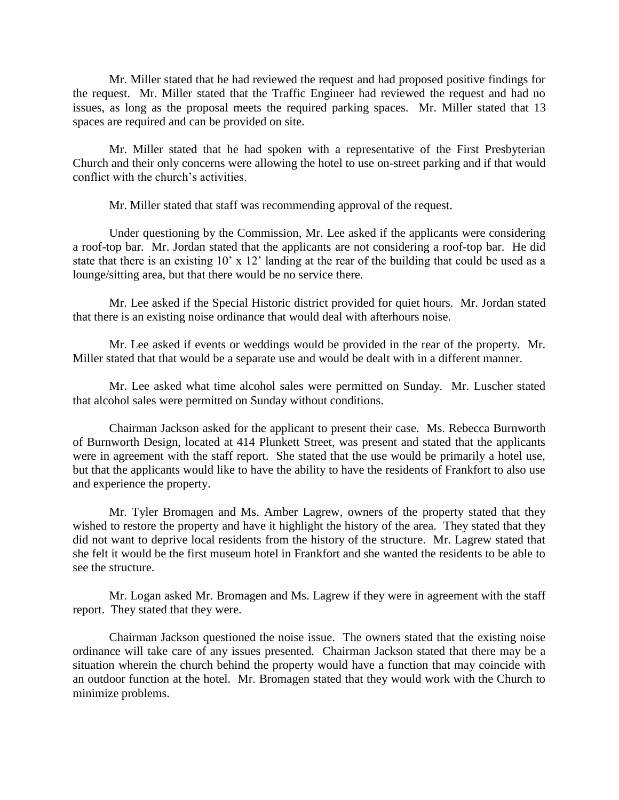Mr. Miller stated that he had reviewed the request and had proposed positive findings for the request. Mr. Miller stated that the Traffic Engineer had reviewed the request and had no issues, as long as the proposal meets the required parking spaces. Mr. Miller stated that 13 spaces are required and can be provided on site.

Mr. Miller stated that he had spoken with a representative of the First Presbyterian Church and their only concerns were allowing the hotel to use on-street parking and if that would conflict with the church's activities.

Mr. Miller stated that staff was recommending approval of the request.

Under questioning by the Commission, Mr. Lee asked if the applicants were considering a roof-top bar. Mr. Jordan stated that the applicants are not considering a roof-top bar. He did state that there is an existing 10' x 12' landing at the rear of the building that could be used as a lounge/sitting area, but that there would be no service there.

Mr. Lee asked if the Special Historic district provided for quiet hours. Mr. Jordan stated that there is an existing noise ordinance that would deal with afterhours noise.

Mr. Lee asked if events or weddings would be provided in the rear of the property. Mr. Miller stated that that would be a separate use and would be dealt with in a different manner.

Mr. Lee asked what time alcohol sales were permitted on Sunday. Mr. Luscher stated that alcohol sales were permitted on Sunday without conditions.

Chairman Jackson asked for the applicant to present their case. Ms. Rebecca Burnworth of Burnworth Design, located at 414 Plunkett Street, was present and stated that the applicants were in agreement with the staff report. She stated that the use would be primarily a hotel use, but that the applicants would like to have the ability to have the residents of Frankfort to also use and experience the property.

Mr. Tyler Bromagen and Ms. Amber Lagrew, owners of the property stated that they wished to restore the property and have it highlight the history of the area. They stated that they did not want to deprive local residents from the history of the structure. Mr. Lagrew stated that she felt it would be the first museum hotel in Frankfort and she wanted the residents to be able to see the structure.

Mr. Logan asked Mr. Bromagen and Ms. Lagrew if they were in agreement with the staff report. They stated that they were.

Chairman Jackson questioned the noise issue. The owners stated that the existing noise ordinance will take care of any issues presented. Chairman Jackson stated that there may be a situation wherein the church behind the property would have a function that may coincide with an outdoor function at the hotel. Mr. Bromagen stated that they would work with the Church to minimize problems.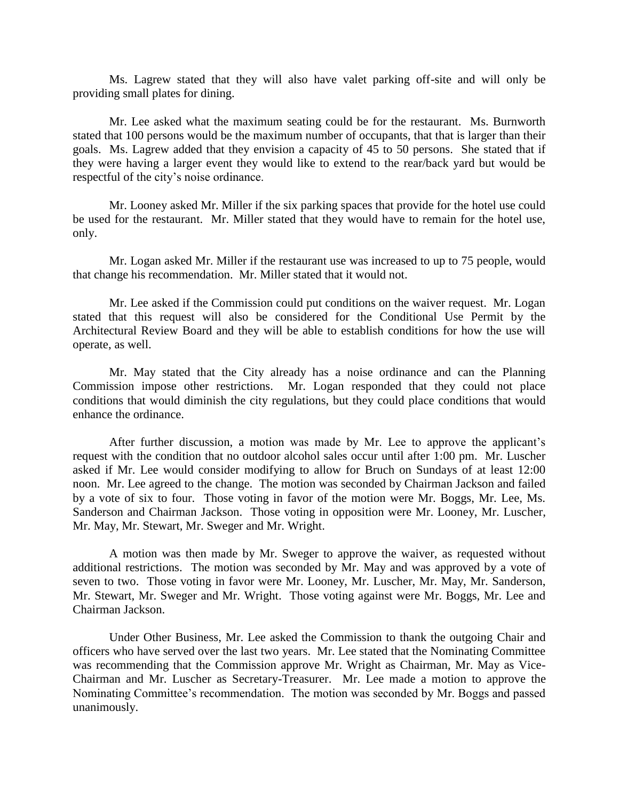Ms. Lagrew stated that they will also have valet parking off-site and will only be providing small plates for dining.

Mr. Lee asked what the maximum seating could be for the restaurant. Ms. Burnworth stated that 100 persons would be the maximum number of occupants, that that is larger than their goals. Ms. Lagrew added that they envision a capacity of 45 to 50 persons. She stated that if they were having a larger event they would like to extend to the rear/back yard but would be respectful of the city's noise ordinance.

Mr. Looney asked Mr. Miller if the six parking spaces that provide for the hotel use could be used for the restaurant. Mr. Miller stated that they would have to remain for the hotel use, only.

Mr. Logan asked Mr. Miller if the restaurant use was increased to up to 75 people, would that change his recommendation. Mr. Miller stated that it would not.

Mr. Lee asked if the Commission could put conditions on the waiver request. Mr. Logan stated that this request will also be considered for the Conditional Use Permit by the Architectural Review Board and they will be able to establish conditions for how the use will operate, as well.

Mr. May stated that the City already has a noise ordinance and can the Planning Commission impose other restrictions. Mr. Logan responded that they could not place conditions that would diminish the city regulations, but they could place conditions that would enhance the ordinance.

After further discussion, a motion was made by Mr. Lee to approve the applicant's request with the condition that no outdoor alcohol sales occur until after 1:00 pm. Mr. Luscher asked if Mr. Lee would consider modifying to allow for Bruch on Sundays of at least 12:00 noon. Mr. Lee agreed to the change. The motion was seconded by Chairman Jackson and failed by a vote of six to four. Those voting in favor of the motion were Mr. Boggs, Mr. Lee, Ms. Sanderson and Chairman Jackson. Those voting in opposition were Mr. Looney, Mr. Luscher, Mr. May, Mr. Stewart, Mr. Sweger and Mr. Wright.

A motion was then made by Mr. Sweger to approve the waiver, as requested without additional restrictions. The motion was seconded by Mr. May and was approved by a vote of seven to two. Those voting in favor were Mr. Looney, Mr. Luscher, Mr. May, Mr. Sanderson, Mr. Stewart, Mr. Sweger and Mr. Wright. Those voting against were Mr. Boggs, Mr. Lee and Chairman Jackson.

Under Other Business, Mr. Lee asked the Commission to thank the outgoing Chair and officers who have served over the last two years. Mr. Lee stated that the Nominating Committee was recommending that the Commission approve Mr. Wright as Chairman, Mr. May as Vice-Chairman and Mr. Luscher as Secretary-Treasurer. Mr. Lee made a motion to approve the Nominating Committee's recommendation. The motion was seconded by Mr. Boggs and passed unanimously.